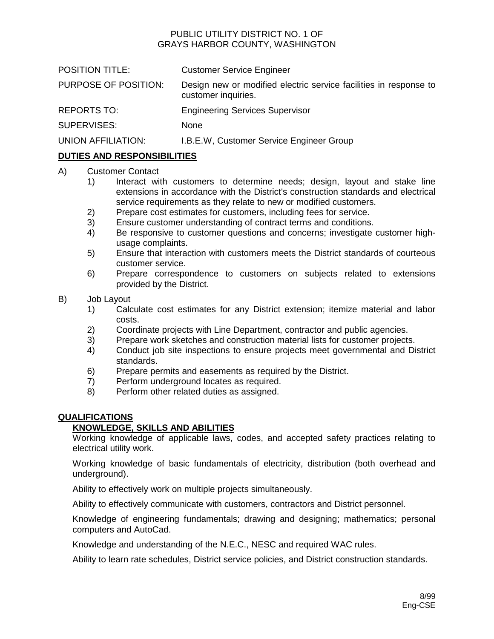# PUBLIC UTILITY DISTRICT NO. 1 OF GRAYS HARBOR COUNTY, WASHINGTON

| <b>POSITION TITLE:</b> | <b>Customer Service Engineer</b>                                                         |
|------------------------|------------------------------------------------------------------------------------------|
| PURPOSE OF POSITION:   | Design new or modified electric service facilities in response to<br>customer inquiries. |
| <b>REPORTS TO:</b>     | <b>Engineering Services Supervisor</b>                                                   |
| SUPERVISES:            | None                                                                                     |
| UNION AFFILIATION:     | I.B.E.W, Customer Service Engineer Group                                                 |
|                        |                                                                                          |

# **DUTIES AND RESPONSIBILITIES**

### A) Customer Contact

- 1) Interact with customers to determine needs; design, layout and stake line extensions in accordance with the District's construction standards and electrical service requirements as they relate to new or modified customers.
- 2) Prepare cost estimates for customers, including fees for service.
- 3) Ensure customer understanding of contract terms and conditions.
- 4) Be responsive to customer questions and concerns; investigate customer highusage complaints.
- 5) Ensure that interaction with customers meets the District standards of courteous customer service.
- 6) Prepare correspondence to customers on subjects related to extensions provided by the District.

#### B) Job Layout

- 1) Calculate cost estimates for any District extension; itemize material and labor costs.
- 2) Coordinate projects with Line Department, contractor and public agencies.
- 3) Prepare work sketches and construction material lists for customer projects.
- 4) Conduct job site inspections to ensure projects meet governmental and District standards.
- 6) Prepare permits and easements as required by the District.
- 7) Perform underground locates as required.
- 8) Perform other related duties as assigned.

#### **QUALIFICATIONS**

## **KNOWLEDGE, SKILLS AND ABILITIES**

Working knowledge of applicable laws, codes, and accepted safety practices relating to electrical utility work.

Working knowledge of basic fundamentals of electricity, distribution (both overhead and underground).

Ability to effectively work on multiple projects simultaneously.

Ability to effectively communicate with customers, contractors and District personnel.

Knowledge of engineering fundamentals; drawing and designing; mathematics; personal computers and AutoCad.

Knowledge and understanding of the N.E.C., NESC and required WAC rules.

Ability to learn rate schedules, District service policies, and District construction standards.